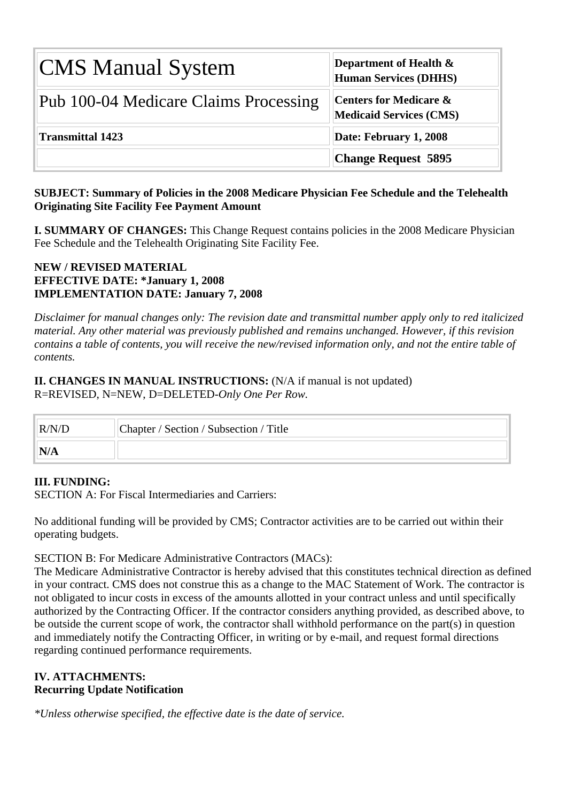| <b>CMS Manual System</b>              | Department of Health $\&$<br><b>Human Services (DHHS)</b>           |
|---------------------------------------|---------------------------------------------------------------------|
| Pub 100-04 Medicare Claims Processing | <b>Centers for Medicare &amp;</b><br><b>Medicaid Services (CMS)</b> |
| <b>Transmittal 1423</b>               | Date: February 1, 2008                                              |
|                                       | <b>Change Request 5895</b>                                          |

## **SUBJECT: Summary of Policies in the 2008 Medicare Physician Fee Schedule and the Telehealth Originating Site Facility Fee Payment Amount**

**I. SUMMARY OF CHANGES:** This Change Request contains policies in the 2008 Medicare Physician Fee Schedule and the Telehealth Originating Site Facility Fee.

## **NEW / REVISED MATERIAL EFFECTIVE DATE: \*January 1, 2008 IMPLEMENTATION DATE: January 7, 2008**

*Disclaimer for manual changes only: The revision date and transmittal number apply only to red italicized material. Any other material was previously published and remains unchanged. However, if this revision contains a table of contents, you will receive the new/revised information only, and not the entire table of contents.*

## **II. CHANGES IN MANUAL INSTRUCTIONS:** (N/A if manual is not updated) R=REVISED, N=NEW, D=DELETED-*Only One Per Row.*

| R/N/D | Chapter / Section / Subsection / Title |
|-------|----------------------------------------|
|       |                                        |

## **III. FUNDING:**

SECTION A: For Fiscal Intermediaries and Carriers:

No additional funding will be provided by CMS; Contractor activities are to be carried out within their operating budgets.

## SECTION B: For Medicare Administrative Contractors (MACs):

The Medicare Administrative Contractor is hereby advised that this constitutes technical direction as defined in your contract. CMS does not construe this as a change to the MAC Statement of Work. The contractor is not obligated to incur costs in excess of the amounts allotted in your contract unless and until specifically authorized by the Contracting Officer. If the contractor considers anything provided, as described above, to be outside the current scope of work, the contractor shall withhold performance on the part(s) in question and immediately notify the Contracting Officer, in writing or by e-mail, and request formal directions regarding continued performance requirements.

## **IV. ATTACHMENTS: Recurring Update Notification**

*\*Unless otherwise specified, the effective date is the date of service.*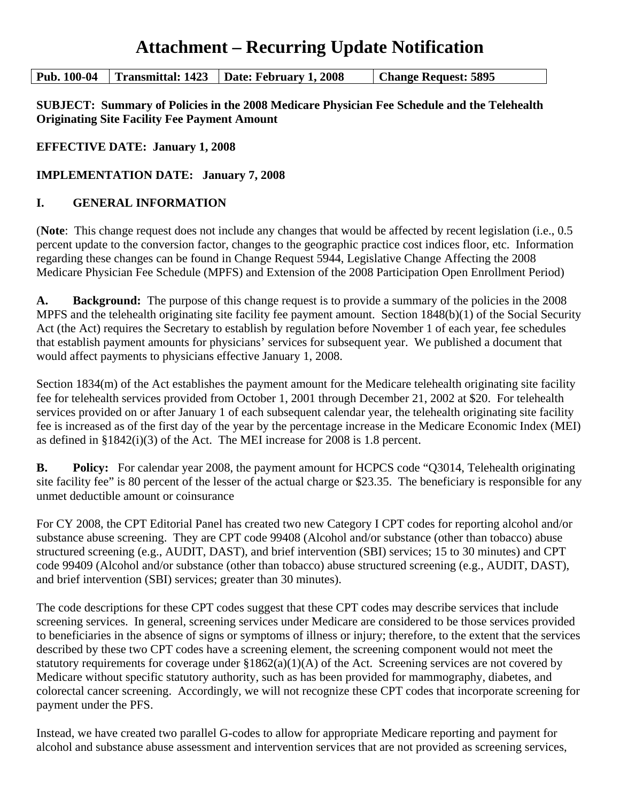# **Attachment – Recurring Update Notification**

**Pub. 100-04 Transmittal: 1423 Date: February 1, 2008 Change Request: 5895** 

**SUBJECT: Summary of Policies in the 2008 Medicare Physician Fee Schedule and the Telehealth Originating Site Facility Fee Payment Amount** 

**EFFECTIVE DATE: January 1, 2008** 

**IMPLEMENTATION DATE: January 7, 2008** 

## **I. GENERAL INFORMATION**

(**Note**: This change request does not include any changes that would be affected by recent legislation (i.e., 0.5 percent update to the conversion factor, changes to the geographic practice cost indices floor, etc. Information regarding these changes can be found in Change Request 5944, Legislative Change Affecting the 2008 Medicare Physician Fee Schedule (MPFS) and Extension of the 2008 Participation Open Enrollment Period)

A. Background: The purpose of this change request is to provide a summary of the policies in the 2008 MPFS and the telehealth originating site facility fee payment amount. Section 1848(b)(1) of the Social Security Act (the Act) requires the Secretary to establish by regulation before November 1 of each year, fee schedules that establish payment amounts for physicians' services for subsequent year. We published a document that would affect payments to physicians effective January 1, 2008.

Section 1834(m) of the Act establishes the payment amount for the Medicare telehealth originating site facility fee for telehealth services provided from October 1, 2001 through December 21, 2002 at \$20. For telehealth services provided on or after January 1 of each subsequent calendar year, the telehealth originating site facility fee is increased as of the first day of the year by the percentage increase in the Medicare Economic Index (MEI) as defined in §1842(i)(3) of the Act. The MEI increase for 2008 is 1.8 percent.

**B.** Policy: For calendar year 2008, the payment amount for HCPCS code "Q3014, Telehealth originating site facility fee" is 80 percent of the lesser of the actual charge or \$23.35. The beneficiary is responsible for any unmet deductible amount or coinsurance

For CY 2008, the CPT Editorial Panel has created two new Category I CPT codes for reporting alcohol and/or substance abuse screening. They are CPT code 99408 (Alcohol and/or substance (other than tobacco) abuse structured screening (e.g., AUDIT, DAST), and brief intervention (SBI) services; 15 to 30 minutes) and CPT code 99409 (Alcohol and/or substance (other than tobacco) abuse structured screening (e.g., AUDIT, DAST), and brief intervention (SBI) services; greater than 30 minutes).

The code descriptions for these CPT codes suggest that these CPT codes may describe services that include screening services. In general, screening services under Medicare are considered to be those services provided to beneficiaries in the absence of signs or symptoms of illness or injury; therefore, to the extent that the services described by these two CPT codes have a screening element, the screening component would not meet the statutory requirements for coverage under  $$1862(a)(1)(A)$  of the Act. Screening services are not covered by Medicare without specific statutory authority, such as has been provided for mammography, diabetes, and colorectal cancer screening. Accordingly, we will not recognize these CPT codes that incorporate screening for payment under the PFS.

Instead, we have created two parallel G-codes to allow for appropriate Medicare reporting and payment for alcohol and substance abuse assessment and intervention services that are not provided as screening services,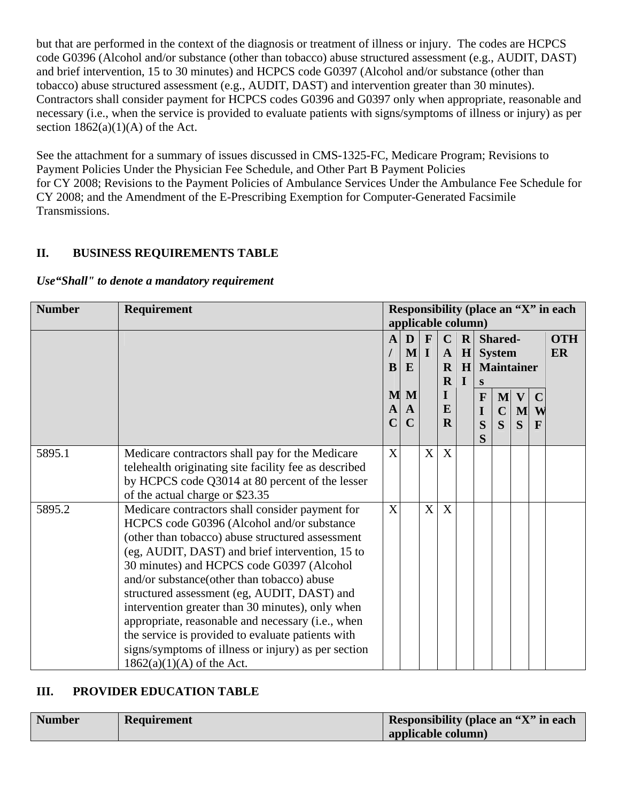but that are performed in the context of the diagnosis or treatment of illness or injury. The codes are HCPCS code G0396 (Alcohol and/or substance (other than tobacco) abuse structured assessment (e.g., AUDIT, DAST) and brief intervention, 15 to 30 minutes) and HCPCS code G0397 (Alcohol and/or substance (other than tobacco) abuse structured assessment (e.g., AUDIT, DAST) and intervention greater than 30 minutes). Contractors shall consider payment for HCPCS codes G0396 and G0397 only when appropriate, reasonable and necessary (i.e., when the service is provided to evaluate patients with signs/symptoms of illness or injury) as per section  $1862(a)(1)(A)$  of the Act.

See the attachment for a summary of issues discussed in CMS-1325-FC, Medicare Program; Revisions to Payment Policies Under the Physician Fee Schedule, and Other Part B Payment Policies for CY 2008; Revisions to the Payment Policies of Ambulance Services Under the Ambulance Fee Schedule for CY 2008; and the Amendment of the E-Prescribing Exemption for Computer-Generated Facsimile Transmissions.

## **II. BUSINESS REQUIREMENTS TABLE**

#### *Use"Shall" to denote a mandatory requirement*

| <b>Number</b> | Requirement                                           | Responsibility (place an "X" in each |              |          |              |                |              |                         |              |             |            |
|---------------|-------------------------------------------------------|--------------------------------------|--------------|----------|--------------|----------------|--------------|-------------------------|--------------|-------------|------------|
|               |                                                       | applicable column)                   |              |          |              |                |              |                         |              |             |            |
|               |                                                       | $\mathbf{A}$                         | D            | F        | $\mathbf C$  | $\mathbf{R}$   |              | Shared-                 |              |             | <b>OTH</b> |
|               |                                                       |                                      | $\mathbf{M}$ | $\bf{I}$ | $\mathbf{A}$ | H              |              | <b>System</b>           |              |             | ER         |
|               |                                                       | B                                    | E            |          | $\mathbf R$  | H <sub>1</sub> |              | <b>Maintainer</b>       |              |             |            |
|               |                                                       |                                      |              |          | $\mathbf R$  | $\bf{I}$       | S            |                         |              |             |            |
|               |                                                       | M                                    | M            |          | L            |                | $\mathbf{F}$ | M                       | $\mathbf{V}$ | $\mathbf C$ |            |
|               |                                                       | A                                    | $\mathbf{A}$ |          | E            |                | I            | $\mathbf C$             | M            | W           |            |
|               |                                                       |                                      | C            |          | $\mathbf R$  |                | S            | $\overline{\mathbf{S}}$ | S            | F           |            |
|               |                                                       |                                      |              |          |              |                | S            |                         |              |             |            |
| 5895.1        | Medicare contractors shall pay for the Medicare       | X                                    |              | X        | X            |                |              |                         |              |             |            |
|               | telehealth originating site facility fee as described |                                      |              |          |              |                |              |                         |              |             |            |
|               | by HCPCS code Q3014 at 80 percent of the lesser       |                                      |              |          |              |                |              |                         |              |             |            |
|               | of the actual charge or \$23.35                       |                                      |              |          |              |                |              |                         |              |             |            |
| 5895.2        | Medicare contractors shall consider payment for       | X                                    |              | X        | X            |                |              |                         |              |             |            |
|               | HCPCS code G0396 (Alcohol and/or substance            |                                      |              |          |              |                |              |                         |              |             |            |
|               | (other than tobacco) abuse structured assessment      |                                      |              |          |              |                |              |                         |              |             |            |
|               | (eg, AUDIT, DAST) and brief intervention, 15 to       |                                      |              |          |              |                |              |                         |              |             |            |
|               | 30 minutes) and HCPCS code G0397 (Alcohol             |                                      |              |          |              |                |              |                         |              |             |            |
|               | and/or substance(other than tobacco) abuse            |                                      |              |          |              |                |              |                         |              |             |            |
|               | structured assessment (eg, AUDIT, DAST) and           |                                      |              |          |              |                |              |                         |              |             |            |
|               | intervention greater than 30 minutes), only when      |                                      |              |          |              |                |              |                         |              |             |            |
|               | appropriate, reasonable and necessary (i.e., when     |                                      |              |          |              |                |              |                         |              |             |            |
|               | the service is provided to evaluate patients with     |                                      |              |          |              |                |              |                         |              |             |            |
|               | signs/symptoms of illness or injury) as per section   |                                      |              |          |              |                |              |                         |              |             |            |
|               | $1862(a)(1)(A)$ of the Act.                           |                                      |              |          |              |                |              |                         |              |             |            |

## **III. PROVIDER EDUCATION TABLE**

| <b>Number</b> | <b>Requirement</b> | Responsibility (place an "X" in each |
|---------------|--------------------|--------------------------------------|
|               |                    | applicable column)                   |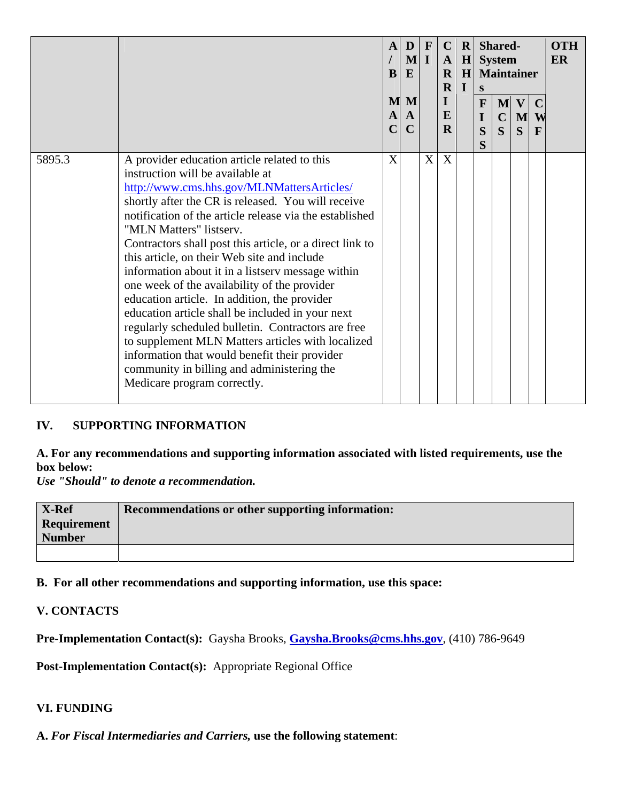|        |                                                                                                                                                                                                                                                                                                                                                                                                                                                                                                                                                                                                                                                                                                                                                                                                                                         | A<br>B<br>M<br>A<br>$\mathbf C$ | D<br>$ \mathbf{M} $<br>E<br>M<br>A<br>$\mathbf C$ | $\mathbf{F}$<br>$\mathbf I$ | $\mathbf C$<br>$\mathbf{A}$<br>$\mathbf{R}$<br>$\mathbf R$<br>$\mathbf{I}$<br>E<br>$\mathbf R$ | $\mathbf R$<br>H<br>H<br>$\bf{I}$ | S<br>$\mathbf{F}$<br>I<br>S<br>S | Shared-<br><b>System</b><br><b>Maintainer</b><br>$\mathbf{M}$<br>$\mathbf C$<br>$\mathbf S$ | $\mathbf{V}$<br>M<br>S | $\mathbf C$<br>W<br>$\mathbf{F}$ | <b>OTH</b><br><b>ER</b> |
|--------|-----------------------------------------------------------------------------------------------------------------------------------------------------------------------------------------------------------------------------------------------------------------------------------------------------------------------------------------------------------------------------------------------------------------------------------------------------------------------------------------------------------------------------------------------------------------------------------------------------------------------------------------------------------------------------------------------------------------------------------------------------------------------------------------------------------------------------------------|---------------------------------|---------------------------------------------------|-----------------------------|------------------------------------------------------------------------------------------------|-----------------------------------|----------------------------------|---------------------------------------------------------------------------------------------|------------------------|----------------------------------|-------------------------|
| 5895.3 | A provider education article related to this<br>instruction will be available at<br>http://www.cms.hhs.gov/MLNMattersArticles/<br>shortly after the CR is released. You will receive<br>notification of the article release via the established<br>"MLN Matters" listserv.<br>Contractors shall post this article, or a direct link to<br>this article, on their Web site and include<br>information about it in a listserv message within<br>one week of the availability of the provider<br>education article. In addition, the provider<br>education article shall be included in your next<br>regularly scheduled bulletin. Contractors are free<br>to supplement MLN Matters articles with localized<br>information that would benefit their provider<br>community in billing and administering the<br>Medicare program correctly. | X                               |                                                   | X                           | X                                                                                              |                                   |                                  |                                                                                             |                        |                                  |                         |

## **IV. SUPPORTING INFORMATION**

## **A. For any recommendations and supporting information associated with listed requirements, use the box below:**

*Use "Should" to denote a recommendation.* 

| <b>X-Ref</b>       | Recommendations or other supporting information: |
|--------------------|--------------------------------------------------|
| <b>Requirement</b> |                                                  |
| <b>Number</b>      |                                                  |
|                    |                                                  |

**B. For all other recommendations and supporting information, use this space:** 

## **V. CONTACTS**

**Pre-Implementation Contact(s):** Gaysha Brooks, **[Gaysha.Brooks@cms.hhs.gov](mailto:Gaysha.Brooks@cms.hhs.gov)**, (410) 786-9649

**Post-Implementation Contact(s):** Appropriate Regional Office

#### **VI. FUNDING**

**A.** *For Fiscal Intermediaries and Carriers,* **use the following statement**: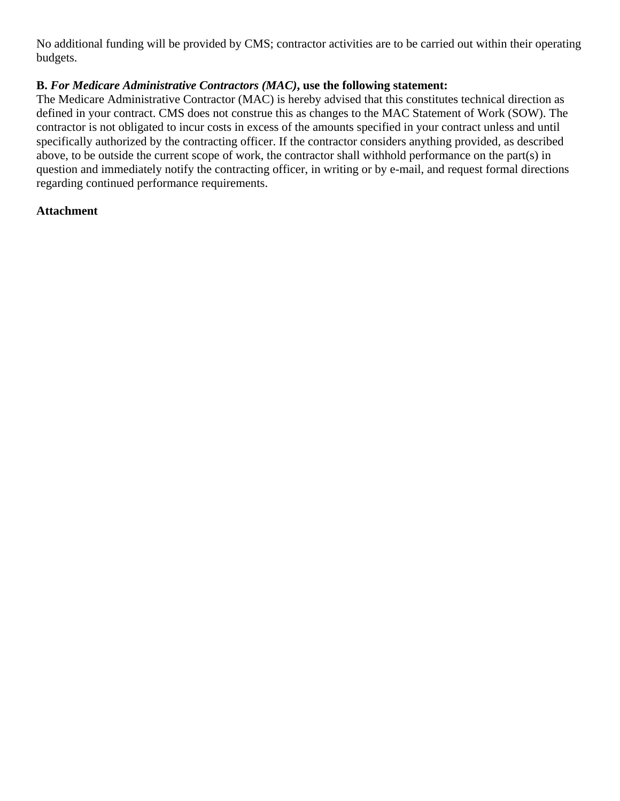No additional funding will be provided by CMS; contractor activities are to be carried out within their operating budgets.

## **B.** *For Medicare Administrative Contractors (MAC)***, use the following statement:**

The Medicare Administrative Contractor (MAC) is hereby advised that this constitutes technical direction as defined in your contract. CMS does not construe this as changes to the MAC Statement of Work (SOW). The contractor is not obligated to incur costs in excess of the amounts specified in your contract unless and until specifically authorized by the contracting officer. If the contractor considers anything provided, as described above, to be outside the current scope of work, the contractor shall withhold performance on the part(s) in question and immediately notify the contracting officer, in writing or by e-mail, and request formal directions regarding continued performance requirements.

## **Attachment**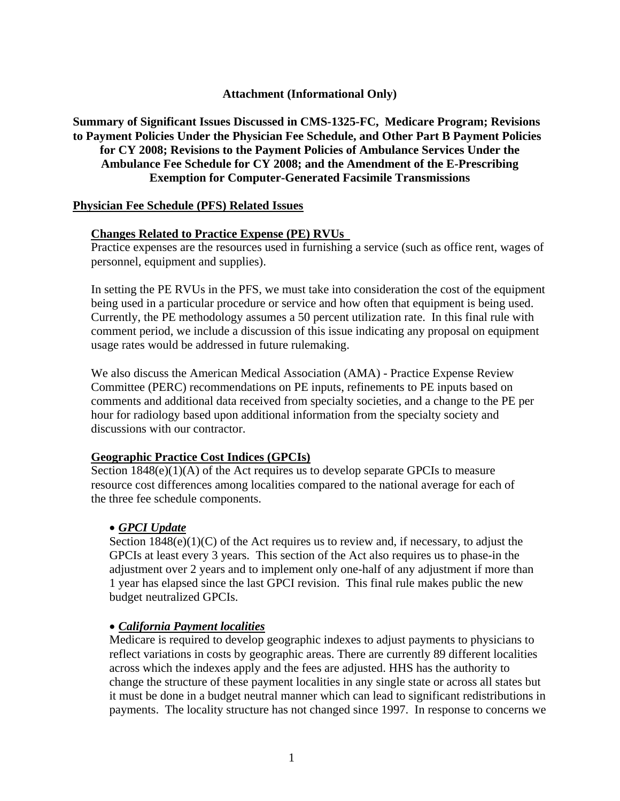## **Attachment (Informational Only)**

## **Summary of Significant Issues Discussed in CMS-1325-FC, Medicare Program; Revisions to Payment Policies Under the Physician Fee Schedule, and Other Part B Payment Policies for CY 2008; Revisions to the Payment Policies of Ambulance Services Under the Ambulance Fee Schedule for CY 2008; and the Amendment of the E-Prescribing Exemption for Computer-Generated Facsimile Transmissions**

#### **Physician Fee Schedule (PFS) Related Issues**

#### **Changes Related to Practice Expense (PE) RVUs**

Practice expenses are the resources used in furnishing a service (such as office rent, wages of personnel, equipment and supplies).

 In setting the PE RVUs in the PFS, we must take into consideration the cost of the equipment being used in a particular procedure or service and how often that equipment is being used. Currently, the PE methodology assumes a 50 percent utilization rate. In this final rule with comment period, we include a discussion of this issue indicating any proposal on equipment usage rates would be addressed in future rulemaking.

We also discuss the American Medical Association (AMA) - Practice Expense Review Committee (PERC) recommendations on PE inputs, refinements to PE inputs based on comments and additional data received from specialty societies, and a change to the PE per hour for radiology based upon additional information from the specialty society and discussions with our contractor.

#### **Geographic Practice Cost Indices (GPCIs)**

Section 1848(e)(1)(A) of the Act requires us to develop separate GPCIs to measure resource cost differences among localities compared to the national average for each of the three fee schedule components.

#### • *GPCI Update*

Section  $1848(e)(1)(C)$  of the Act requires us to review and, if necessary, to adjust the GPCIs at least every 3 years. This section of the Act also requires us to phase-in the adjustment over 2 years and to implement only one-half of any adjustment if more than 1 year has elapsed since the last GPCI revision. This final rule makes public the new budget neutralized GPCIs.

#### • *California Payment localities*

Medicare is required to develop geographic indexes to adjust payments to physicians to reflect variations in costs by geographic areas. There are currently 89 different localities across which the indexes apply and the fees are adjusted. HHS has the authority to change the structure of these payment localities in any single state or across all states but it must be done in a budget neutral manner which can lead to significant redistributions in payments. The locality structure has not changed since 1997. In response to concerns we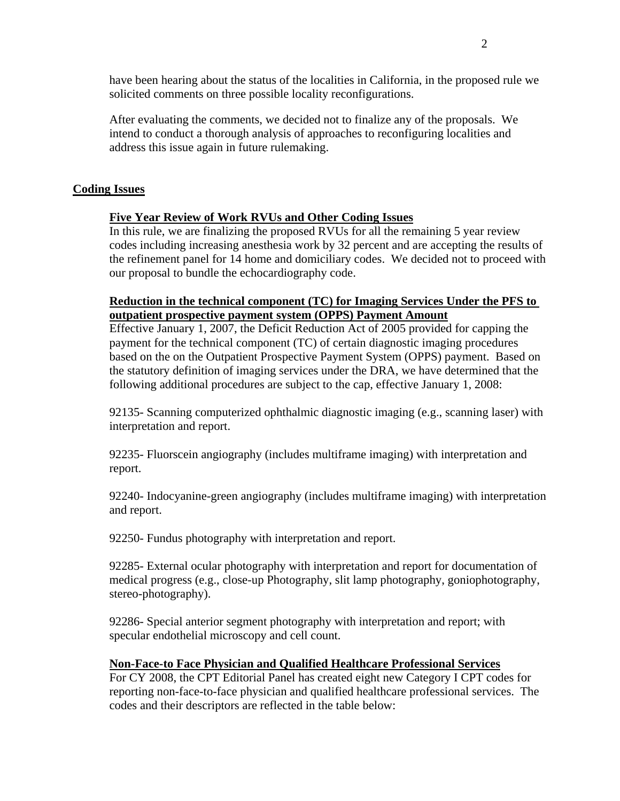have been hearing about the status of the localities in California, in the proposed rule we solicited comments on three possible locality reconfigurations.

After evaluating the comments, we decided not to finalize any of the proposals. We intend to conduct a thorough analysis of approaches to reconfiguring localities and address this issue again in future rulemaking.

## **Coding Issues**

## **Five Year Review of Work RVUs and Other Coding Issues**

In this rule, we are finalizing the proposed RVUs for all the remaining 5 year review codes including increasing anesthesia work by 32 percent and are accepting the results of the refinement panel for 14 home and domiciliary codes. We decided not to proceed with our proposal to bundle the echocardiography code.

#### **Reduction in the technical component (TC) for Imaging Services Under the PFS to outpatient prospective payment system (OPPS) Payment Amount**

Effective January 1, 2007, the Deficit Reduction Act of 2005 provided for capping the payment for the technical component (TC) of certain diagnostic imaging procedures based on the on the Outpatient Prospective Payment System (OPPS) payment. Based on the statutory definition of imaging services under the DRA, we have determined that the following additional procedures are subject to the cap, effective January 1, 2008:

92135- Scanning computerized ophthalmic diagnostic imaging (e.g., scanning laser) with interpretation and report.

92235- Fluorscein angiography (includes multiframe imaging) with interpretation and report.

92240- Indocyanine-green angiography (includes multiframe imaging) with interpretation and report.

92250- Fundus photography with interpretation and report.

92285- External ocular photography with interpretation and report for documentation of medical progress (e.g., close-up Photography, slit lamp photography, goniophotography, stereo-photography).

92286- Special anterior segment photography with interpretation and report; with specular endothelial microscopy and cell count.

#### **Non-Face-to Face Physician and Qualified Healthcare Professional Services**

For CY 2008, the CPT Editorial Panel has created eight new Category I CPT codes for reporting non-face-to-face physician and qualified healthcare professional services. The codes and their descriptors are reflected in the table below: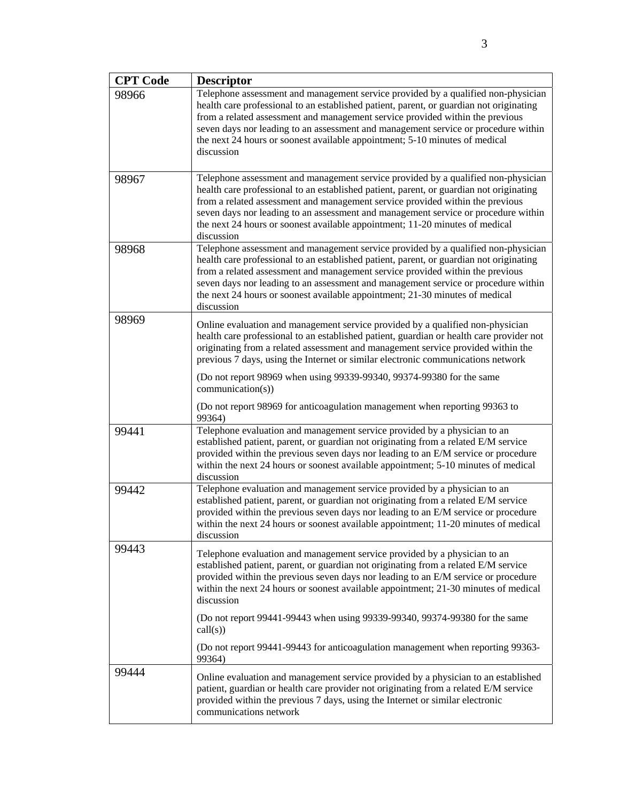| <b>CPT</b> Code | <b>Descriptor</b>                                                                                                                                                                                                                                                                                                                                                                                                                                 |
|-----------------|---------------------------------------------------------------------------------------------------------------------------------------------------------------------------------------------------------------------------------------------------------------------------------------------------------------------------------------------------------------------------------------------------------------------------------------------------|
| 98966           | Telephone assessment and management service provided by a qualified non-physician<br>health care professional to an established patient, parent, or guardian not originating<br>from a related assessment and management service provided within the previous<br>seven days nor leading to an assessment and management service or procedure within<br>the next 24 hours or soonest available appointment; 5-10 minutes of medical<br>discussion  |
| 98967           | Telephone assessment and management service provided by a qualified non-physician<br>health care professional to an established patient, parent, or guardian not originating<br>from a related assessment and management service provided within the previous<br>seven days nor leading to an assessment and management service or procedure within<br>the next 24 hours or soonest available appointment; 11-20 minutes of medical<br>discussion |
| 98968           | Telephone assessment and management service provided by a qualified non-physician<br>health care professional to an established patient, parent, or guardian not originating<br>from a related assessment and management service provided within the previous<br>seven days nor leading to an assessment and management service or procedure within<br>the next 24 hours or soonest available appointment; 21-30 minutes of medical<br>discussion |
| 98969           | Online evaluation and management service provided by a qualified non-physician<br>health care professional to an established patient, guardian or health care provider not<br>originating from a related assessment and management service provided within the<br>previous 7 days, using the Internet or similar electronic communications network                                                                                                |
|                 | (Do not report 98969 when using 99339-99340, 99374-99380 for the same<br>communication(s))                                                                                                                                                                                                                                                                                                                                                        |
|                 | (Do not report 98969 for anticoagulation management when reporting 99363 to<br>99364)                                                                                                                                                                                                                                                                                                                                                             |
| 99441           | Telephone evaluation and management service provided by a physician to an<br>established patient, parent, or guardian not originating from a related E/M service<br>provided within the previous seven days nor leading to an E/M service or procedure<br>within the next 24 hours or soonest available appointment; 5-10 minutes of medical<br>discussion                                                                                        |
| 99442           | Telephone evaluation and management service provided by a physician to an<br>established patient, parent, or guardian not originating from a related E/M service<br>provided within the previous seven days nor leading to an E/M service or procedure<br>within the next 24 hours or soonest available appointment; 11-20 minutes of medical<br>discussion                                                                                       |
| 99443           | Telephone evaluation and management service provided by a physician to an<br>established patient, parent, or guardian not originating from a related E/M service<br>provided within the previous seven days nor leading to an E/M service or procedure<br>within the next 24 hours or soonest available appointment; 21-30 minutes of medical<br>discussion                                                                                       |
|                 | (Do not report 99441-99443 when using 99339-99340, 99374-99380 for the same<br>call(s))                                                                                                                                                                                                                                                                                                                                                           |
|                 | (Do not report 99441-99443 for anticoagulation management when reporting 99363-<br>99364)                                                                                                                                                                                                                                                                                                                                                         |
| 99444           | Online evaluation and management service provided by a physician to an established<br>patient, guardian or health care provider not originating from a related E/M service<br>provided within the previous 7 days, using the Internet or similar electronic<br>communications network                                                                                                                                                             |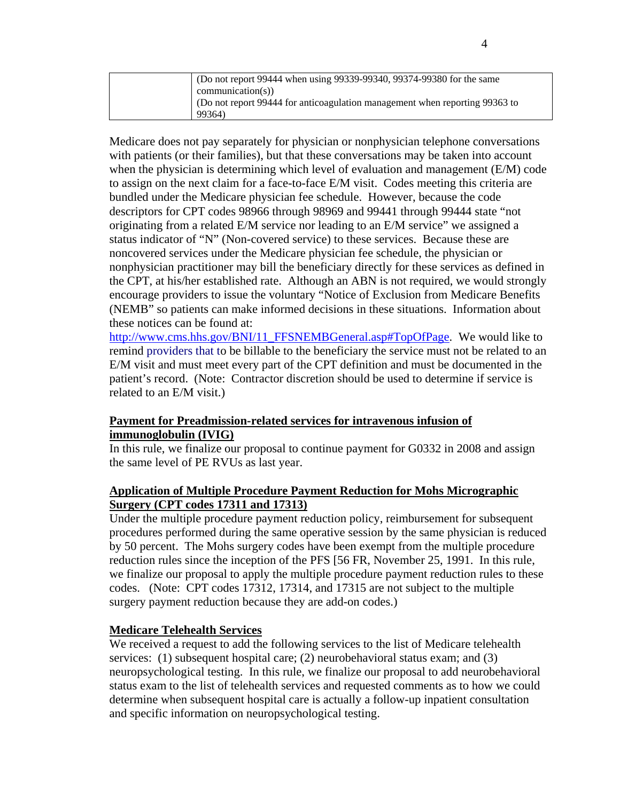| (Do not report 99444 when using 99339-99340, 99374-99380 for the same       |
|-----------------------------------------------------------------------------|
| $communication(s)$ )                                                        |
| (Do not report 99444 for anticoagulation management when reporting 99363 to |
| 99364)                                                                      |

Medicare does not pay separately for physician or nonphysician telephone conversations with patients (or their families), but that these conversations may be taken into account when the physician is determining which level of evaluation and management (E/M) code to assign on the next claim for a face-to-face E/M visit. Codes meeting this criteria are bundled under the Medicare physician fee schedule. However, because the code descriptors for CPT codes 98966 through 98969 and 99441 through 99444 state "not originating from a related E/M service nor leading to an E/M service" we assigned a status indicator of "N" (Non-covered service) to these services. Because these are noncovered services under the Medicare physician fee schedule, the physician or nonphysician practitioner may bill the beneficiary directly for these services as defined in the CPT, at his/her established rate. Although an ABN is not required, we would strongly encourage providers to issue the voluntary "Notice of Exclusion from Medicare Benefits (NEMB" so patients can make informed decisions in these situations. Information about these notices can be found at:

[http://www.cms.hhs.gov/BNI/11\\_FFSNEMBGeneral.asp#TopOfPage.](http://www.cms.hhs.gov/BNI/11_FFSNEMBGeneral.asp#TopOfPage) We would like to remind providers that to be billable to the beneficiary the service must not be related to an E/M visit and must meet every part of the CPT definition and must be documented in the patient's record. (Note: Contractor discretion should be used to determine if service is related to an E/M visit.)

#### **Payment for Preadmission-related services for intravenous infusion of immunoglobulin (IVIG)**

In this rule, we finalize our proposal to continue payment for G0332 in 2008 and assign the same level of PE RVUs as last year.

## **Application of Multiple Procedure Payment Reduction for Mohs Micrographic Surgery (CPT codes 17311 and 17313)**

Under the multiple procedure payment reduction policy, reimbursement for subsequent procedures performed during the same operative session by the same physician is reduced by 50 percent. The Mohs surgery codes have been exempt from the multiple procedure reduction rules since the inception of the PFS [56 FR, November 25, 1991. In this rule, we finalize our proposal to apply the multiple procedure payment reduction rules to these codes. (Note: CPT codes 17312, 17314, and 17315 are not subject to the multiple surgery payment reduction because they are add-on codes.)

## **Medicare Telehealth Services**

We received a request to add the following services to the list of Medicare telehealth services: (1) subsequent hospital care; (2) neurobehavioral status exam; and (3) neuropsychological testing. In this rule, we finalize our proposal to add neurobehavioral status exam to the list of telehealth services and requested comments as to how we could determine when subsequent hospital care is actually a follow-up inpatient consultation and specific information on neuropsychological testing.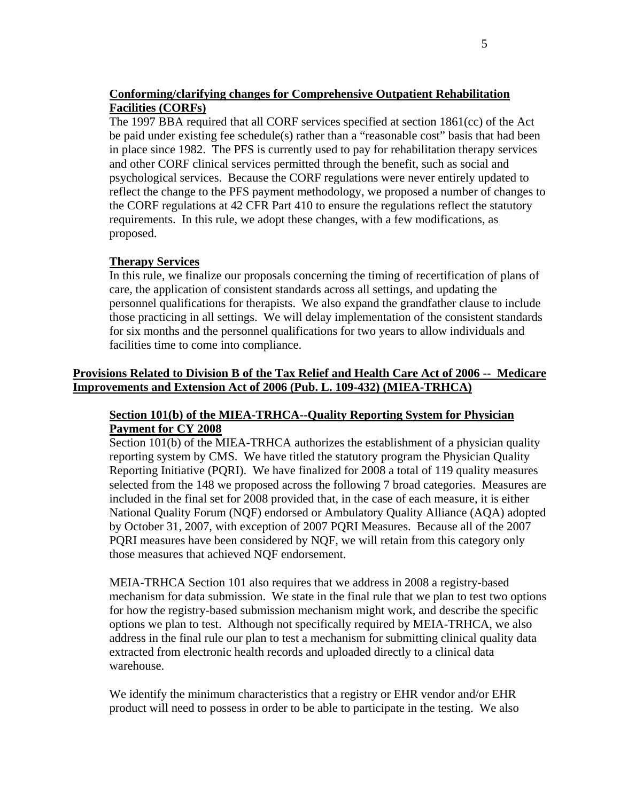## **Conforming/clarifying changes for Comprehensive Outpatient Rehabilitation Facilities (CORFs)**

The 1997 BBA required that all CORF services specified at section 1861(cc) of the Act be paid under existing fee schedule(s) rather than a "reasonable cost" basis that had been in place since 1982. The PFS is currently used to pay for rehabilitation therapy services and other CORF clinical services permitted through the benefit, such as social and psychological services. Because the CORF regulations were never entirely updated to reflect the change to the PFS payment methodology, we proposed a number of changes to the CORF regulations at 42 CFR Part 410 to ensure the regulations reflect the statutory requirements. In this rule, we adopt these changes, with a few modifications, as proposed.

## **Therapy Services**

In this rule, we finalize our proposals concerning the timing of recertification of plans of care, the application of consistent standards across all settings, and updating the personnel qualifications for therapists. We also expand the grandfather clause to include those practicing in all settings. We will delay implementation of the consistent standards for six months and the personnel qualifications for two years to allow individuals and facilities time to come into compliance.

## **Provisions Related to Division B of the Tax Relief and Health Care Act of 2006 -- Medicare Improvements and Extension Act of 2006 (Pub. L. 109-432) (MIEA-TRHCA)**

#### **Section 101(b) of the MIEA-TRHCA--Quality Reporting System for Physician Payment for CY 2008**

Section 101(b) of the MIEA-TRHCA authorizes the establishment of a physician quality reporting system by CMS. We have titled the statutory program the Physician Quality Reporting Initiative (PQRI). We have finalized for 2008 a total of 119 quality measures selected from the 148 we proposed across the following 7 broad categories. Measures are included in the final set for 2008 provided that, in the case of each measure, it is either National Quality Forum (NQF) endorsed or Ambulatory Quality Alliance (AQA) adopted by October 31, 2007, with exception of 2007 PQRI Measures. Because all of the 2007 PQRI measures have been considered by NQF, we will retain from this category only those measures that achieved NQF endorsement.

MEIA-TRHCA Section 101 also requires that we address in 2008 a registry-based mechanism for data submission. We state in the final rule that we plan to test two options for how the registry-based submission mechanism might work, and describe the specific options we plan to test. Although not specifically required by MEIA-TRHCA, we also address in the final rule our plan to test a mechanism for submitting clinical quality data extracted from electronic health records and uploaded directly to a clinical data warehouse.

We identify the minimum characteristics that a registry or EHR vendor and/or EHR product will need to possess in order to be able to participate in the testing. We also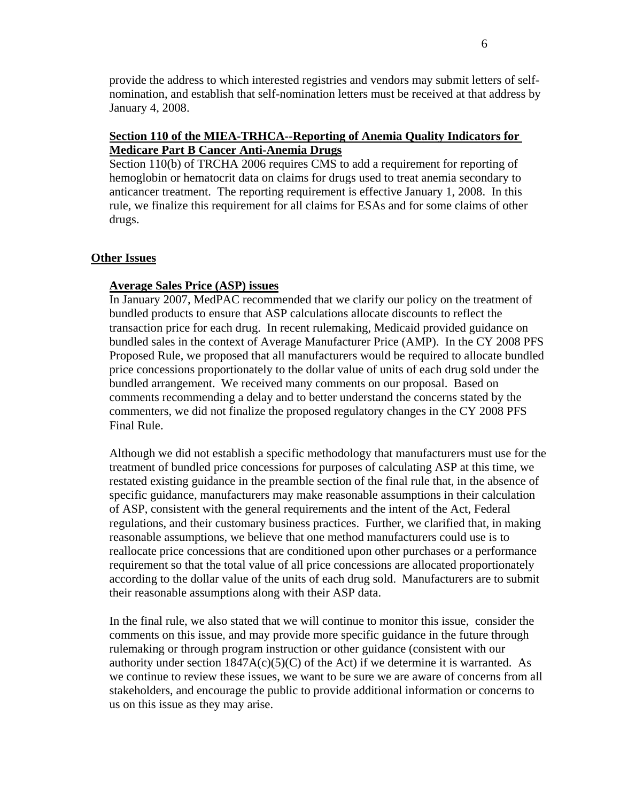provide the address to which interested registries and vendors may submit letters of selfnomination, and establish that self-nomination letters must be received at that address by January 4, 2008.

## **Section 110 of the MIEA-TRHCA--Reporting of Anemia Quality Indicators for Medicare Part B Cancer Anti-Anemia Drugs**

Section 110(b) of TRCHA 2006 requires CMS to add a requirement for reporting of hemoglobin or hematocrit data on claims for drugs used to treat anemia secondary to anticancer treatment. The reporting requirement is effective January 1, 2008. In this rule, we finalize this requirement for all claims for ESAs and for some claims of other drugs.

#### **Other Issues**

## **Average Sales Price (ASP) issues**

In January 2007, MedPAC recommended that we clarify our policy on the treatment of bundled products to ensure that ASP calculations allocate discounts to reflect the transaction price for each drug. In recent rulemaking, Medicaid provided guidance on bundled sales in the context of Average Manufacturer Price (AMP). In the CY 2008 PFS Proposed Rule, we proposed that all manufacturers would be required to allocate bundled price concessions proportionately to the dollar value of units of each drug sold under the bundled arrangement. We received many comments on our proposal. Based on comments recommending a delay and to better understand the concerns stated by the commenters, we did not finalize the proposed regulatory changes in the CY 2008 PFS Final Rule.

Although we did not establish a specific methodology that manufacturers must use for the treatment of bundled price concessions for purposes of calculating ASP at this time, we restated existing guidance in the preamble section of the final rule that, in the absence of specific guidance, manufacturers may make reasonable assumptions in their calculation of ASP, consistent with the general requirements and the intent of the Act, Federal regulations, and their customary business practices. Further, we clarified that, in making reasonable assumptions, we believe that one method manufacturers could use is to reallocate price concessions that are conditioned upon other purchases or a performance requirement so that the total value of all price concessions are allocated proportionately according to the dollar value of the units of each drug sold. Manufacturers are to submit their reasonable assumptions along with their ASP data.

In the final rule, we also stated that we will continue to monitor this issue, consider the comments on this issue, and may provide more specific guidance in the future through rulemaking or through program instruction or other guidance (consistent with our authority under section  $1847A(c)(5)(C)$  of the Act) if we determine it is warranted. As we continue to review these issues, we want to be sure we are aware of concerns from all stakeholders, and encourage the public to provide additional information or concerns to us on this issue as they may arise.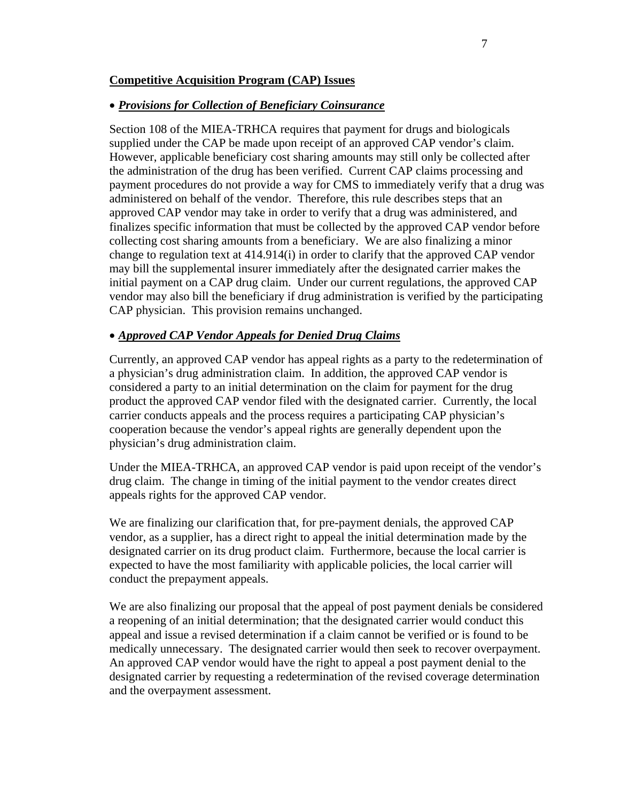#### **Competitive Acquisition Program (CAP) Issues**

#### • *Provisions for Collection of Beneficiary Coinsurance*

Section 108 of the MIEA-TRHCA requires that payment for drugs and biologicals supplied under the CAP be made upon receipt of an approved CAP vendor's claim. However, applicable beneficiary cost sharing amounts may still only be collected after the administration of the drug has been verified. Current CAP claims processing and payment procedures do not provide a way for CMS to immediately verify that a drug was administered on behalf of the vendor. Therefore, this rule describes steps that an approved CAP vendor may take in order to verify that a drug was administered, and finalizes specific information that must be collected by the approved CAP vendor before collecting cost sharing amounts from a beneficiary. We are also finalizing a minor change to regulation text at 414.914(i) in order to clarify that the approved CAP vendor may bill the supplemental insurer immediately after the designated carrier makes the initial payment on a CAP drug claim. Under our current regulations, the approved CAP vendor may also bill the beneficiary if drug administration is verified by the participating CAP physician. This provision remains unchanged.

#### • *Approved CAP Vendor Appeals for Denied Drug Claims*

Currently, an approved CAP vendor has appeal rights as a party to the redetermination of a physician's drug administration claim. In addition, the approved CAP vendor is considered a party to an initial determination on the claim for payment for the drug product the approved CAP vendor filed with the designated carrier. Currently, the local carrier conducts appeals and the process requires a participating CAP physician's cooperation because the vendor's appeal rights are generally dependent upon the physician's drug administration claim.

 Under the MIEA-TRHCA, an approved CAP vendor is paid upon receipt of the vendor's drug claim. The change in timing of the initial payment to the vendor creates direct appeals rights for the approved CAP vendor.

We are finalizing our clarification that, for pre-payment denials, the approved CAP vendor, as a supplier, has a direct right to appeal the initial determination made by the designated carrier on its drug product claim. Furthermore, because the local carrier is expected to have the most familiarity with applicable policies, the local carrier will conduct the prepayment appeals.

We are also finalizing our proposal that the appeal of post payment denials be considered a reopening of an initial determination; that the designated carrier would conduct this appeal and issue a revised determination if a claim cannot be verified or is found to be medically unnecessary. The designated carrier would then seek to recover overpayment. An approved CAP vendor would have the right to appeal a post payment denial to the designated carrier by requesting a redetermination of the revised coverage determination and the overpayment assessment.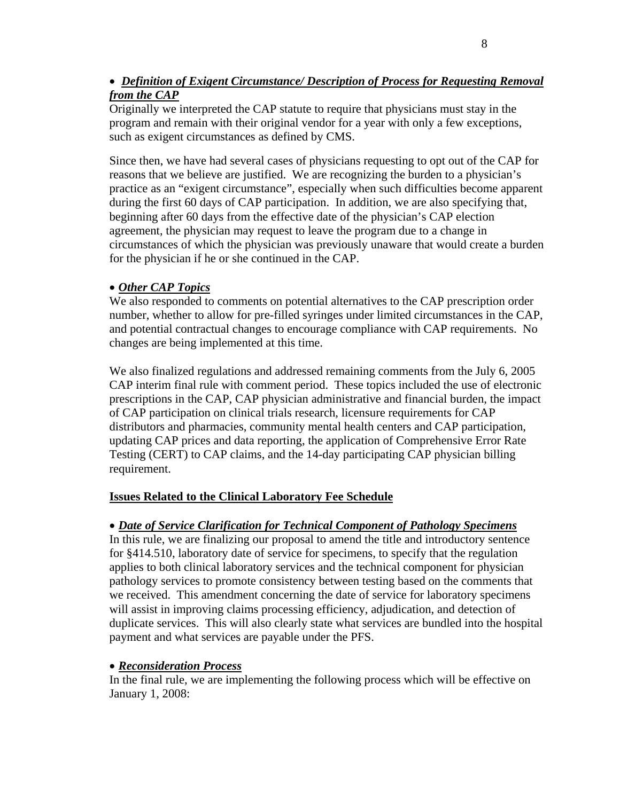## • *Definition of Exigent Circumstance/ Description of Process for Requesting Removal from the CAP*

Originally we interpreted the CAP statute to require that physicians must stay in the program and remain with their original vendor for a year with only a few exceptions, such as exigent circumstances as defined by CMS.

Since then, we have had several cases of physicians requesting to opt out of the CAP for reasons that we believe are justified. We are recognizing the burden to a physician's practice as an "exigent circumstance", especially when such difficulties become apparent during the first 60 days of CAP participation. In addition, we are also specifying that, beginning after 60 days from the effective date of the physician's CAP election agreement, the physician may request to leave the program due to a change in circumstances of which the physician was previously unaware that would create a burden for the physician if he or she continued in the CAP.

## • *Other CAP Topics*

We also responded to comments on potential alternatives to the CAP prescription order number, whether to allow for pre-filled syringes under limited circumstances in the CAP, and potential contractual changes to encourage compliance with CAP requirements. No changes are being implemented at this time.

We also finalized regulations and addressed remaining comments from the July 6, 2005 CAP interim final rule with comment period. These topics included the use of electronic prescriptions in the CAP, CAP physician administrative and financial burden, the impact of CAP participation on clinical trials research, licensure requirements for CAP distributors and pharmacies, community mental health centers and CAP participation, updating CAP prices and data reporting, the application of Comprehensive Error Rate Testing (CERT) to CAP claims, and the 14-day participating CAP physician billing requirement.

## **Issues Related to the Clinical Laboratory Fee Schedule**

## • *Date of Service Clarification for Technical Component of Pathology Specimens*

 In this rule, we are finalizing our proposal to amend the title and introductory sentence for §414.510, laboratory date of service for specimens, to specify that the regulation applies to both clinical laboratory services and the technical component for physician pathology services to promote consistency between testing based on the comments that we received. This amendment concerning the date of service for laboratory specimens will assist in improving claims processing efficiency, adjudication, and detection of duplicate services. This will also clearly state what services are bundled into the hospital payment and what services are payable under the PFS.

#### • *Reconsideration Process*

In the final rule, we are implementing the following process which will be effective on January 1, 2008: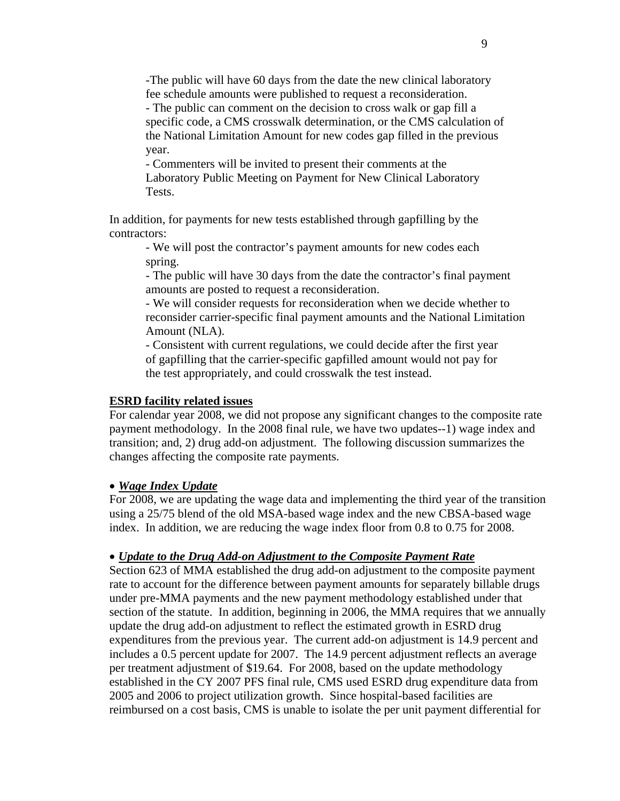-The public will have 60 days from the date the new clinical laboratory fee schedule amounts were published to request a reconsideration.

 - The public can comment on the decision to cross walk or gap fill a specific code, a CMS crosswalk determination, or the CMS calculation of the National Limitation Amount for new codes gap filled in the previous year.

 - Commenters will be invited to present their comments at the Laboratory Public Meeting on Payment for New Clinical Laboratory Tests.

 In addition, for payments for new tests established through gapfilling by the contractors:

 - We will post the contractor's payment amounts for new codes each spring.

- The public will have 30 days from the date the contractor's final payment amounts are posted to request a reconsideration.

- We will consider requests for reconsideration when we decide whether to reconsider carrier-specific final payment amounts and the National Limitation Amount (NLA).

 - Consistent with current regulations, we could decide after the first year of gapfilling that the carrier-specific gapfilled amount would not pay for the test appropriately, and could crosswalk the test instead.

#### **ESRD facility related issues**

 For calendar year 2008, we did not propose any significant changes to the composite rate payment methodology. In the 2008 final rule, we have two updates--1) wage index and transition; and, 2) drug add-on adjustment. The following discussion summarizes the changes affecting the composite rate payments.

#### • *Wage Index Update*

For 2008, we are updating the wage data and implementing the third year of the transition using a 25/75 blend of the old MSA-based wage index and the new CBSA-based wage index. In addition, we are reducing the wage index floor from 0.8 to 0.75 for 2008.

#### • *Update to the Drug Add-on Adjustment to the Composite Payment Rate*

Section 623 of MMA established the drug add-on adjustment to the composite payment rate to account for the difference between payment amounts for separately billable drugs under pre-MMA payments and the new payment methodology established under that section of the statute. In addition, beginning in 2006, the MMA requires that we annually update the drug add-on adjustment to reflect the estimated growth in ESRD drug expenditures from the previous year. The current add-on adjustment is 14.9 percent and includes a 0.5 percent update for 2007. The 14.9 percent adjustment reflects an average per treatment adjustment of \$19.64. For 2008, based on the update methodology established in the CY 2007 PFS final rule, CMS used ESRD drug expenditure data from 2005 and 2006 to project utilization growth. Since hospital-based facilities are reimbursed on a cost basis, CMS is unable to isolate the per unit payment differential for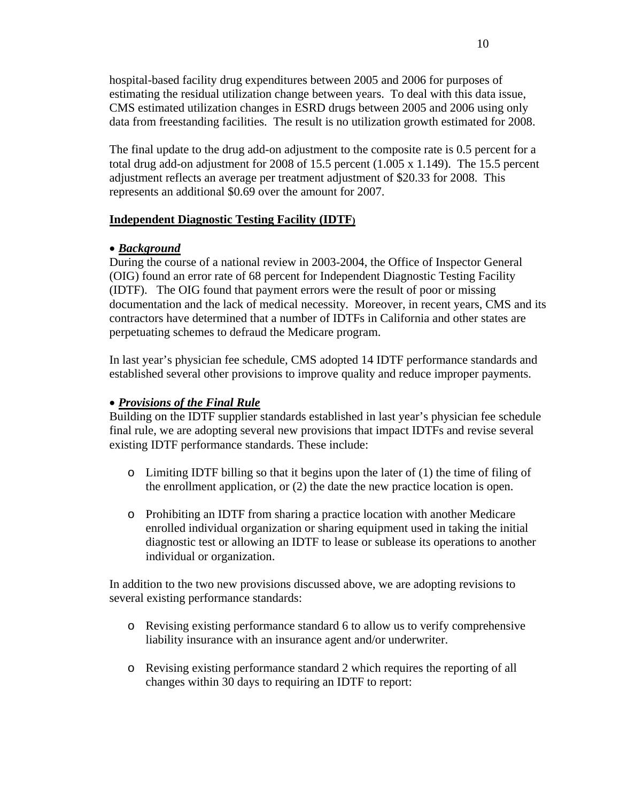hospital-based facility drug expenditures between 2005 and 2006 for purposes of estimating the residual utilization change between years. To deal with this data issue, CMS estimated utilization changes in ESRD drugs between 2005 and 2006 using only data from freestanding facilities. The result is no utilization growth estimated for 2008.

 The final update to the drug add-on adjustment to the composite rate is 0.5 percent for a total drug add-on adjustment for 2008 of 15.5 percent (1.005 x 1.149). The 15.5 percent adjustment reflects an average per treatment adjustment of \$20.33 for 2008. This represents an additional \$0.69 over the amount for 2007.

#### **Independent Diagnostic Testing Facility (IDTF)**

#### • *Background*

During the course of a national review in 2003-2004, the Office of Inspector General (OIG) found an error rate of 68 percent for Independent Diagnostic Testing Facility (IDTF). The OIG found that payment errors were the result of poor or missing documentation and the lack of medical necessity. Moreover, in recent years, CMS and its contractors have determined that a number of IDTFs in California and other states are perpetuating schemes to defraud the Medicare program.

In last year's physician fee schedule, CMS adopted 14 IDTF performance standards and established several other provisions to improve quality and reduce improper payments.

## • *Provisions of the Final Rule*

 Building on the IDTF supplier standards established in last year's physician fee schedule final rule, we are adopting several new provisions that impact IDTFs and revise several existing IDTF performance standards. These include:

- o Limiting IDTF billing so that it begins upon the later of (1) the time of filing of the enrollment application, or (2) the date the new practice location is open.
- o Prohibiting an IDTF from sharing a practice location with another Medicare enrolled individual organization or sharing equipment used in taking the initial diagnostic test or allowing an IDTF to lease or sublease its operations to another individual or organization.

In addition to the two new provisions discussed above, we are adopting revisions to several existing performance standards:

- o Revising existing performance standard 6 to allow us to verify comprehensive liability insurance with an insurance agent and/or underwriter.
- o Revising existing performance standard 2 which requires the reporting of all changes within 30 days to requiring an IDTF to report: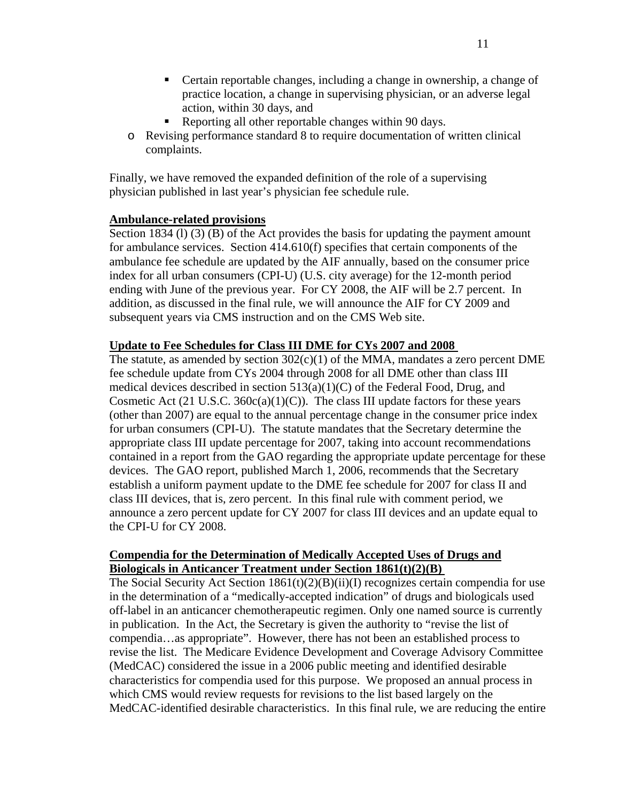- Certain reportable changes, including a change in ownership, a change of practice location, a change in supervising physician, or an adverse legal action, within 30 days, and
- Reporting all other reportable changes within 90 days.
- o Revising performance standard 8 to require documentation of written clinical complaints.

Finally, we have removed the expanded definition of the role of a supervising physician published in last year's physician fee schedule rule.

## **Ambulance-related provisions**

Section 1834 (1) (3) (B) of the Act provides the basis for updating the payment amount for ambulance services. Section 414.610(f) specifies that certain components of the ambulance fee schedule are updated by the AIF annually, based on the consumer price index for all urban consumers (CPI-U) (U.S. city average) for the 12-month period ending with June of the previous year. For CY 2008, the AIF will be 2.7 percent. In addition, as discussed in the final rule, we will announce the AIF for CY 2009 and subsequent years via CMS instruction and on the CMS Web site.

## **Update to Fee Schedules for Class III DME for CYs 2007 and 2008**

The statute, as amended by section  $302(c)(1)$  of the MMA, mandates a zero percent DME fee schedule update from CYs 2004 through 2008 for all DME other than class III medical devices described in section 513(a)(1)(C) of the Federal Food, Drug, and Cosmetic Act (21 U.S.C.  $360c(a)(1)(C)$ ). The class III update factors for these years (other than 2007) are equal to the annual percentage change in the consumer price index for urban consumers (CPI-U). The statute mandates that the Secretary determine the appropriate class III update percentage for 2007, taking into account recommendations contained in a report from the GAO regarding the appropriate update percentage for these devices. The GAO report, published March 1, 2006, recommends that the Secretary establish a uniform payment update to the DME fee schedule for 2007 for class II and class III devices, that is, zero percent. In this final rule with comment period, we announce a zero percent update for CY 2007 for class III devices and an update equal to the CPI-U for CY 2008.

## **Compendia for the Determination of Medically Accepted Uses of Drugs and Biologicals in Anticancer Treatment under Section 1861(t)(2)(B)**

The Social Security Act Section 1861(t)(2)(B)(ii)(I) recognizes certain compendia for use in the determination of a "medically-accepted indication" of drugs and biologicals used off-label in an anticancer chemotherapeutic regimen. Only one named source is currently in publication. In the Act, the Secretary is given the authority to "revise the list of compendia…as appropriate". However, there has not been an established process to revise the list. The Medicare Evidence Development and Coverage Advisory Committee (MedCAC) considered the issue in a 2006 public meeting and identified desirable characteristics for compendia used for this purpose. We proposed an annual process in which CMS would review requests for revisions to the list based largely on the MedCAC-identified desirable characteristics. In this final rule, we are reducing the entire